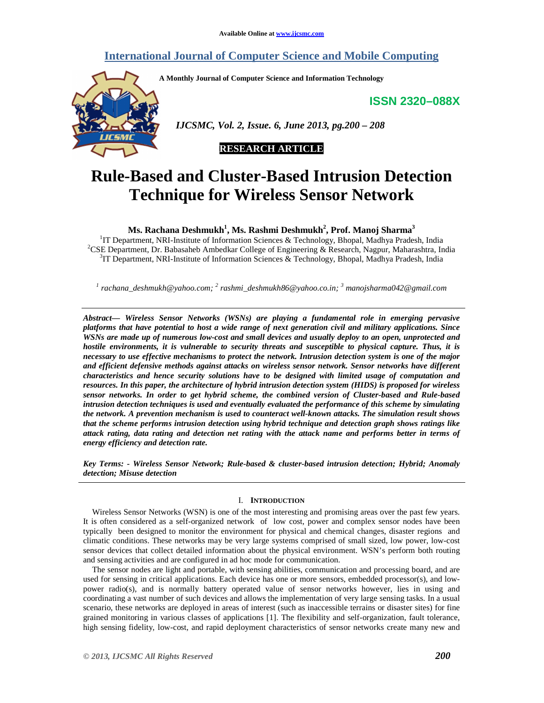# **International Journal of Computer Science and Mobile Computing**

**A Monthly Journal of Computer Science and Information Technology** 

**ISSN 2320–088X**



 *IJCSMC, Vol. 2, Issue. 6, June 2013, pg.200 – 208* 



# **Rule-Based and Cluster-Based Intrusion Detection Technique for Wireless Sensor Network**

# **Ms. Rachana Deshmukh<sup>1</sup> , Ms. Rashmi Deshmukh<sup>2</sup> , Prof. Manoj Sharma<sup>3</sup>**

<sup>1</sup>IT Department, NRI-Institute of Information Sciences & Technology, Bhopal, Madhya Pradesh, India <sup>2</sup>CSE Department, Dr. Babasaheb Ambedkar College of Engineering & Research, Nagpur, Maharashtra, India <sup>3</sup>IT Department, NRI-Institute of Information Sciences & Technology, Bhopal, Madhya Pradesh, India

*1 rachana\_deshmukh@yahoo.com; <sup>2</sup> rashmi\_deshmukh86@yahoo.co.in; <sup>3</sup> manojsharma042@gmail.com* 

*Abstract— Wireless Sensor Networks (WSNs) are playing a fundamental role in emerging pervasive platforms that have potential to host a wide range of next generation civil and military applications. Since WSNs are made up of numerous low-cost and small devices and usually deploy to an open, unprotected and hostile environments, it is vulnerable to security threats and susceptible to physical capture. Thus, it is necessary to use effective mechanisms to protect the network. Intrusion detection system is one of the major and efficient defensive methods against attacks on wireless sensor network. Sensor networks have different characteristics and hence security solutions have to be designed with limited usage of computation and resources. In this paper, the architecture of hybrid intrusion detection system (HIDS) is proposed for wireless sensor networks. In order to get hybrid scheme, the combined version of Cluster-based and Rule-based intrusion detection techniques is used and eventually evaluated the performance of this scheme by simulating the network. A prevention mechanism is used to counteract well-known attacks. The simulation result shows that the scheme performs intrusion detection using hybrid technique and detection graph shows ratings like attack rating, data rating and detection net rating with the attack name and performs better in terms of energy efficiency and detection rate.* 

*Key Terms: - Wireless Sensor Network; Rule-based & cluster-based intrusion detection; Hybrid; Anomaly detection; Misuse detection* 

# I. **INTRODUCTION**

Wireless Sensor Networks (WSN) is one of the most interesting and promising areas over the past few years. It is often considered as a self-organized network of low cost, power and complex sensor nodes have been typically been designed to monitor the environment for physical and chemical changes, disaster regions and climatic conditions. These networks may be very large systems comprised of small sized, low power, low-cost sensor devices that collect detailed information about the physical environment. WSN's perform both routing and sensing activities and are configured in ad hoc mode for communication.

The sensor nodes are light and portable, with sensing abilities, communication and processing board, and are used for sensing in critical applications. Each device has one or more sensors, embedded processor(s), and lowpower radio(s), and is normally battery operated value of sensor networks however, lies in using and coordinating a vast number of such devices and allows the implementation of very large sensing tasks. In a usual scenario, these networks are deployed in areas of interest (such as inaccessible terrains or disaster sites) for fine grained monitoring in various classes of applications [1]. The flexibility and self-organization, fault tolerance, high sensing fidelity, low-cost, and rapid deployment characteristics of sensor networks create many new and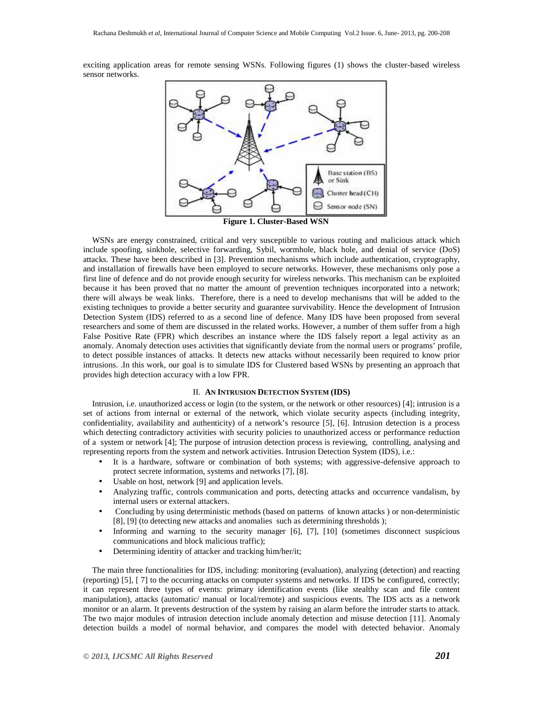exciting application areas for remote sensing WSNs. Following figures (1) shows the cluster-based wireless sensor networks.



**Figure 1. Cluster-Based WSN** 

WSNs are energy constrained, critical and very susceptible to various routing and malicious attack which include spoofing, sinkhole, selective forwarding, Sybil, wormhole, black hole, and denial of service (DoS) attacks. These have been described in [3]. Prevention mechanisms which include authentication, cryptography, and installation of firewalls have been employed to secure networks. However, these mechanisms only pose a first line of defence and do not provide enough security for wireless networks. This mechanism can be exploited because it has been proved that no matter the amount of prevention techniques incorporated into a network; there will always be weak links. Therefore, there is a need to develop mechanisms that will be added to the existing techniques to provide a better security and guarantee survivability. Hence the development of Intrusion Detection System (IDS) referred to as a second line of defence. Many IDS have been proposed from several researchers and some of them are discussed in the related works. However, a number of them suffer from a high False Positive Rate (FPR) which describes an instance where the IDS falsely report a legal activity as an anomaly. Anomaly detection uses activities that significantly deviate from the normal users or programs' profile, to detect possible instances of attacks. It detects new attacks without necessarily been required to know prior intrusions. .In this work, our goal is to simulate IDS for Clustered based WSNs by presenting an approach that provides high detection accuracy with a low FPR.

# II. **AN INTRUSION DETECTION SYSTEM (IDS)**

Intrusion, i.e. unauthorized access or login (to the system, or the network or other resources) [4]; intrusion is a set of actions from internal or external of the network, which violate security aspects (including integrity, confidentiality, availability and authenticity) of a network's resource [5], [6]. Intrusion detection is a process which detecting contradictory activities with security policies to unauthorized access or performance reduction of a system or network [4]; The purpose of intrusion detection process is reviewing, controlling, analysing and representing reports from the system and network activities. Intrusion Detection System (IDS), i.e.:

- It is a hardware, software or combination of both systems; with aggressive-defensive approach to protect secrete information, systems and networks [7], [8].
- Usable on host, network [9] and application levels.
- Analyzing traffic, controls communication and ports, detecting attacks and occurrence vandalism, by internal users or external attackers.
- Concluding by using deterministic methods (based on patterns of known attacks ) or non-deterministic [8], [9] (to detecting new attacks and anomalies such as determining thresholds);
- Informing and warning to the security manager [6], [7], [10] (sometimes disconnect suspicious communications and block malicious traffic);
- Determining identity of attacker and tracking him/her/it;

The main three functionalities for IDS, including: monitoring (evaluation), analyzing (detection) and reacting (reporting) [5], [ 7] to the occurring attacks on computer systems and networks. If IDS be configured, correctly; it can represent three types of events: primary identification events (like stealthy scan and file content manipulation), attacks (automatic/ manual or local/remote) and suspicious events. The IDS acts as a network monitor or an alarm. It prevents destruction of the system by raising an alarm before the intruder starts to attack. The two major modules of intrusion detection include anomaly detection and misuse detection [11]. Anomaly detection builds a model of normal behavior, and compares the model with detected behavior. Anomaly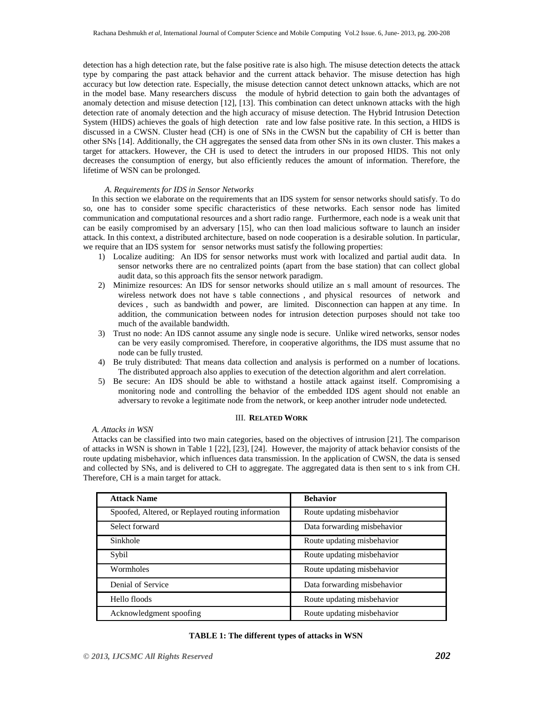detection has a high detection rate, but the false positive rate is also high. The misuse detection detects the attack type by comparing the past attack behavior and the current attack behavior. The misuse detection has high accuracy but low detection rate. Especially, the misuse detection cannot detect unknown attacks, which are not in the model base. Many researchers discuss the module of hybrid detection to gain both the advantages of anomaly detection and misuse detection [12], [13]. This combination can detect unknown attacks with the high detection rate of anomaly detection and the high accuracy of misuse detection. The Hybrid Intrusion Detection System (HIDS) achieves the goals of high detection rate and low false positive rate. In this section, a HIDS is discussed in a CWSN. Cluster head (CH) is one of SNs in the CWSN but the capability of CH is better than other SNs [14]. Additionally, the CH aggregates the sensed data from other SNs in its own cluster. This makes a target for attackers. However, the CH is used to detect the intruders in our proposed HIDS. This not only decreases the consumption of energy, but also efficiently reduces the amount of information. Therefore, the lifetime of WSN can be prolonged.

# *A. Requirements for IDS in Sensor Networks*

In this section we elaborate on the requirements that an IDS system for sensor networks should satisfy. To do so, one has to consider some specific characteristics of these networks. Each sensor node has limited communication and computational resources and a short radio range. Furthermore, each node is a weak unit that can be easily compromised by an adversary [15], who can then load malicious software to launch an insider attack. In this context, a distributed architecture, based on node cooperation is a desirable solution. In particular, we require that an IDS system for sensor networks must satisfy the following properties:

- 1) Localize auditing: An IDS for sensor networks must work with localized and partial audit data. In sensor networks there are no centralized points (apart from the base station) that can collect global audit data, so this approach fits the sensor network paradigm.
- 2) Minimize resources: An IDS for sensor networks should utilize an s mall amount of resources. The wireless network does not have s table connections , and physical resources of network and devices , such as bandwidth and power, are limited. Disconnection can happen at any time. In addition, the communication between nodes for intrusion detection purposes should not take too much of the available bandwidth.
- 3) Trust no node: An IDS cannot assume any single node is secure. Unlike wired networks, sensor nodes can be very easily compromised. Therefore, in cooperative algorithms, the IDS must assume that no node can be fully trusted.
- 4) Be truly distributed: That means data collection and analysis is performed on a number of locations. The distributed approach also applies to execution of the detection algorithm and alert correlation.
- 5) Be secure: An IDS should be able to withstand a hostile attack against itself. Compromising a monitoring node and controlling the behavior of the embedded IDS agent should not enable an adversary to revoke a legitimate node from the network, or keep another intruder node undetected.

# III. **RELATED WORK**

*A. Attacks in WSN* 

Attacks can be classified into two main categories, based on the objectives of intrusion [21]. The comparison of attacks in WSN is shown in Table 1 [22], [23], [24]. However, the majority of attack behavior consists of the route updating misbehavior, which influences data transmission. In the application of CWSN, the data is sensed and collected by SNs, and is delivered to CH to aggregate. The aggregated data is then sent to s ink from CH. Therefore, CH is a main target for attack.

| <b>Attack Name</b>                                | <b>Behavior</b>             |
|---------------------------------------------------|-----------------------------|
| Spoofed, Altered, or Replayed routing information | Route updating misbehavior  |
| Select forward                                    | Data forwarding misbehavior |
| Sinkhole                                          | Route updating misbehavior  |
| Sybil                                             | Route updating misbehavior  |
| Wormholes                                         | Route updating misbehavior  |
| Denial of Service                                 | Data forwarding misbehavior |
| Hello floods                                      | Route updating misbehavior  |
| Acknowledgment spoofing                           | Route updating misbehavior  |

|  | TABLE 1: The different types of attacks in WSN |
|--|------------------------------------------------|
|--|------------------------------------------------|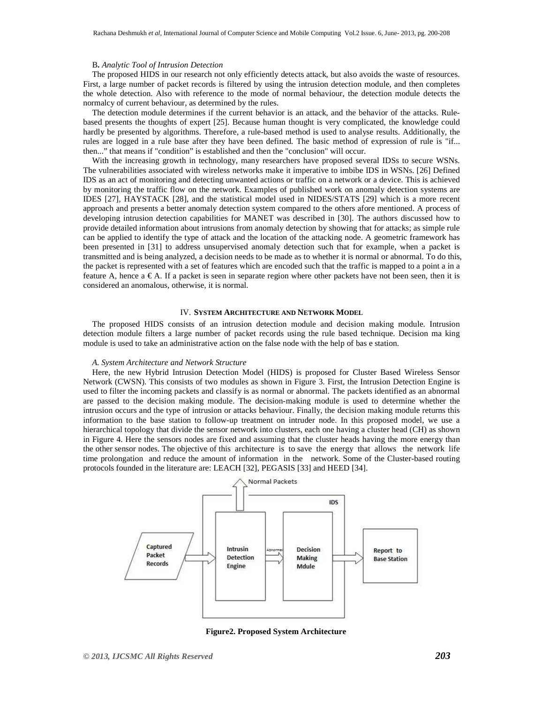#### B**.** *Analytic Tool of Intrusion Detection*

The proposed HIDS in our research not only efficiently detects attack, but also avoids the waste of resources. First, a large number of packet records is filtered by using the intrusion detection module, and then completes the whole detection. Also with reference to the mode of normal behaviour, the detection module detects the normalcy of current behaviour, as determined by the rules.

The detection module determines if the current behavior is an attack, and the behavior of the attacks. Rulebased presents the thoughts of expert [25]. Because human thought is very complicated, the knowledge could hardly be presented by algorithms. Therefore, a rule-based method is used to analyse results. Additionally, the rules are logged in a rule base after they have been defined. The basic method of expression of rule is "if... then..." that means if "condition" is established and then the "conclusion" will occur.

With the increasing growth in technology, many researchers have proposed several IDSs to secure WSNs. The vulnerabilities associated with wireless networks make it imperative to imbibe IDS in WSNs. [26] Defined IDS as an act of monitoring and detecting unwanted actions or traffic on a network or a device. This is achieved by monitoring the traffic flow on the network. Examples of published work on anomaly detection systems are IDES [27], HAYSTACK [28], and the statistical model used in NIDES/STATS [29] which is a more recent approach and presents a better anomaly detection system compared to the others afore mentioned. A process of developing intrusion detection capabilities for MANET was described in [30]. The authors discussed how to provide detailed information about intrusions from anomaly detection by showing that for attacks; as simple rule can be applied to identify the type of attack and the location of the attacking node. A geometric framework has been presented in [31] to address unsupervised anomaly detection such that for example, when a packet is transmitted and is being analyzed, a decision needs to be made as to whether it is normal or abnormal. To do this, the packet is represented with a set of features which are encoded such that the traffic is mapped to a point a in a feature A, hence  $a \in A$ . If a packet is seen in separate region where other packets have not been seen, then it is considered an anomalous, otherwise, it is normal.

# IV. **SYSTEM ARCHITECTURE AND NETWORK MODEL**

The proposed HIDS consists of an intrusion detection module and decision making module. Intrusion detection module filters a large number of packet records using the rule based technique. Decision ma king module is used to take an administrative action on the false node with the help of bas e station.

#### *A. System Architecture and Network Structure*

Here, the new Hybrid Intrusion Detection Model (HIDS) is proposed for Cluster Based Wireless Sensor Network (CWSN). This consists of two modules as shown in Figure 3. First, the Intrusion Detection Engine is used to filter the incoming packets and classify is as normal or abnormal. The packets identified as an abnormal are passed to the decision making module. The decision-making module is used to determine whether the intrusion occurs and the type of intrusion or attacks behaviour. Finally, the decision making module returns this information to the base station to follow-up treatment on intruder node. In this proposed model, we use a hierarchical topology that divide the sensor network into clusters, each one having a cluster head (CH) as shown in Figure 4. Here the sensors nodes are fixed and assuming that the cluster heads having the more energy than the other sensor nodes. The objective of this architecture is to save the energy that allows the network life time prolongation and reduce the amount of information in the network. Some of the Cluster-based routing protocols founded in the literature are: LEACH [32], PEGASIS [33] and HEED [34].



**Figure2. Proposed System Architecture**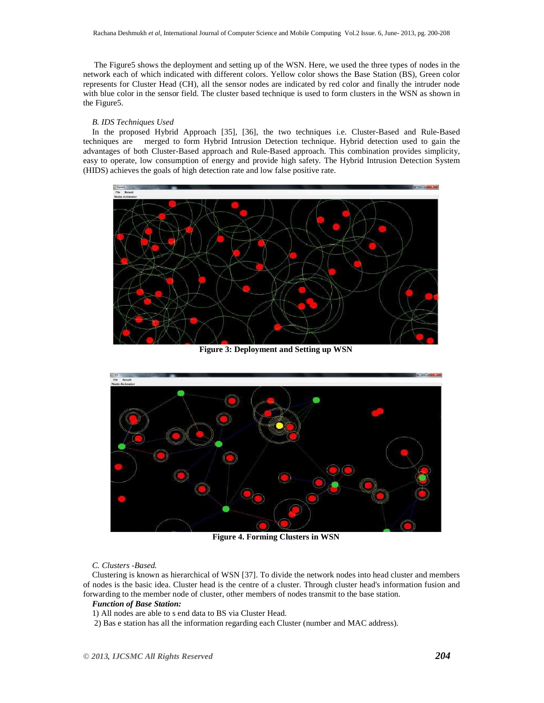The Figure5 shows the deployment and setting up of the WSN. Here, we used the three types of nodes in the network each of which indicated with different colors. Yellow color shows the Base Station (BS), Green color represents for Cluster Head (CH), all the sensor nodes are indicated by red color and finally the intruder node with blue color in the sensor field. The cluster based technique is used to form clusters in the WSN as shown in the Figure5.

# *B. IDS Techniques Used*

In the proposed Hybrid Approach [35], [36], the two techniques i.e. Cluster-Based and Rule-Based techniques are merged to form Hybrid Intrusion Detection technique. Hybrid detection used to gain the advantages of both Cluster-Based approach and Rule-Based approach. This combination provides simplicity, easy to operate, low consumption of energy and provide high safety. The Hybrid Intrusion Detection System (HIDS) achieves the goals of high detection rate and low false positive rate.



**Figure 3: Deployment and Setting up WSN** 



**Figure 4. Forming Clusters in WSN** 

# *C. Clusters -Based.*

Clustering is known as hierarchical of WSN [37]. To divide the network nodes into head cluster and members of nodes is the basic idea. Cluster head is the centre of a cluster. Through cluster head's information fusion and forwarding to the member node of cluster, other members of nodes transmit to the base station.

#### *Function of Base Station:*

- 1) All nodes are able to s end data to BS via Cluster Head.
- 2) Bas e station has all the information regarding each Cluster (number and MAC address).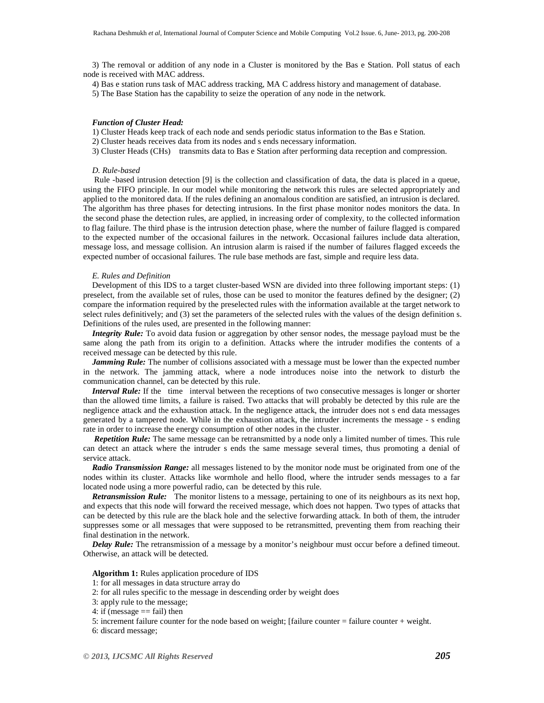3) The removal or addition of any node in a Cluster is monitored by the Bas e Station. Poll status of each node is received with MAC address.

4) Bas e station runs task of MAC address tracking, MA C address history and management of database.

5) The Base Station has the capability to seize the operation of any node in the network.

#### *Function of Cluster Head:*

1) Cluster Heads keep track of each node and sends periodic status information to the Bas e Station.

2) Cluster heads receives data from its nodes and s ends necessary information.

3) Cluster Heads (CHs) transmits data to Bas e Station after performing data reception and compression.

#### *D. Rule-based*

Rule -based intrusion detection [9] is the collection and classification of data, the data is placed in a queue, using the FIFO principle. In our model while monitoring the network this rules are selected appropriately and applied to the monitored data. If the rules defining an anomalous condition are satisfied, an intrusion is declared. The algorithm has three phases for detecting intrusions. In the first phase monitor nodes monitors the data. In the second phase the detection rules, are applied, in increasing order of complexity, to the collected information to flag failure. The third phase is the intrusion detection phase, where the number of failure flagged is compared to the expected number of the occasional failures in the network. Occasional failures include data alteration, message loss, and message collision. An intrusion alarm is raised if the number of failures flagged exceeds the expected number of occasional failures. The rule base methods are fast, simple and require less data.

#### *E. Rules and Definition*

Development of this IDS to a target cluster-based WSN are divided into three following important steps: (1) preselect, from the available set of rules, those can be used to monitor the features defined by the designer; (2) compare the information required by the preselected rules with the information available at the target network to select rules definitively; and (3) set the parameters of the selected rules with the values of the design definition s. Definitions of the rules used, are presented in the following manner:

*Integrity Rule:* To avoid data fusion or aggregation by other sensor nodes, the message payload must be the same along the path from its origin to a definition. Attacks where the intruder modifies the contents of a received message can be detected by this rule.

*Jamming Rule:* The number of collisions associated with a message must be lower than the expected number in the network. The jamming attack, where a node introduces noise into the network to disturb the communication channel, can be detected by this rule.

*Interval Rule:* If the time interval between the receptions of two consecutive messages is longer or shorter than the allowed time limits, a failure is raised. Two attacks that will probably be detected by this rule are the negligence attack and the exhaustion attack. In the negligence attack, the intruder does not s end data messages generated by a tampered node. While in the exhaustion attack, the intruder increments the message - s ending rate in order to increase the energy consumption of other nodes in the cluster.

*Repetition Rule:* The same message can be retransmitted by a node only a limited number of times. This rule can detect an attack where the intruder s ends the same message several times, thus promoting a denial of service attack.

*Radio Transmission Range:* all messages listened to by the monitor node must be originated from one of the nodes within its cluster. Attacks like wormhole and hello flood, where the intruder sends messages to a far located node using a more powerful radio, can be detected by this rule.

*Retransmission Rule:* The monitor listens to a message, pertaining to one of its neighbours as its next hop, and expects that this node will forward the received message, which does not happen. Two types of attacks that can be detected by this rule are the black hole and the selective forwarding attack. In both of them, the intruder suppresses some or all messages that were supposed to be retransmitted, preventing them from reaching their final destination in the network.

*Delay Rule:* The retransmission of a message by a monitor's neighbour must occur before a defined timeout. Otherwise, an attack will be detected.

**Algorithm 1:** Rules application procedure of IDS

- 1: for all messages in data structure array do
- 2: for all rules specific to the message in descending order by weight does
- 3: apply rule to the message;
- 4: if (message  $==$  fail) then

5: increment failure counter for the node based on weight; [failure counter = failure counter + weight.

6: discard message;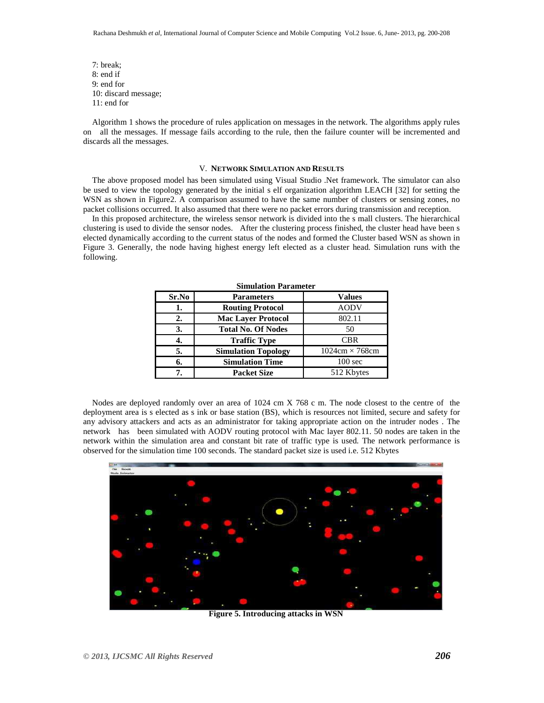7: break; 8: end if 9: end for 10: discard message; 11: end for

Algorithm 1 shows the procedure of rules application on messages in the network. The algorithms apply rules on all the messages. If message fails according to the rule, then the failure counter will be incremented and discards all the messages.

#### V. **NETWORK SIMULATION AND RESULTS**

The above proposed model has been simulated using Visual Studio .Net framework. The simulator can also be used to view the topology generated by the initial s elf organization algorithm LEACH [32] for setting the WSN as shown in Figure2. A comparison assumed to have the same number of clusters or sensing zones, no packet collisions occurred. It also assumed that there were no packet errors during transmission and reception.

In this proposed architecture, the wireless sensor network is divided into the s mall clusters. The hierarchical clustering is used to divide the sensor nodes. After the clustering process finished, the cluster head have been s elected dynamically according to the current status of the nodes and formed the Cluster based WSN as shown in Figure 3. Generally, the node having highest energy left elected as a cluster head. Simulation runs with the following.

| <b>Simulation Parameter</b> |                            |                       |  |
|-----------------------------|----------------------------|-----------------------|--|
| Sr.No                       | <b>Parameters</b>          | <b>Values</b>         |  |
| 1.                          | <b>Routing Protocol</b>    | <b>AODV</b>           |  |
| 2.                          | <b>Mac Layer Protocol</b>  | 802.11                |  |
| 3.                          | <b>Total No. Of Nodes</b>  | 50                    |  |
|                             | <b>Traffic Type</b>        | CBR                   |  |
| 5.                          | <b>Simulation Topology</b> | $1024cm \times 768cm$ |  |
| 6.                          | <b>Simulation Time</b>     | 100 <sub>sec</sub>    |  |
|                             | <b>Packet Size</b>         | 512 Kbytes            |  |

Nodes are deployed randomly over an area of 1024 cm X 768 c m. The node closest to the centre of the deployment area is s elected as s ink or base station (BS), which is resources not limited, secure and safety for any advisory attackers and acts as an administrator for taking appropriate action on the intruder nodes . The network has been simulated with AODV routing protocol with Mac layer 802.11. 50 nodes are taken in the network within the simulation area and constant bit rate of traffic type is used. The network performance is observed for the simulation time 100 seconds. The standard packet size is used i.e. 512 Kbytes



**Figure 5. Introducing attacks in WSN**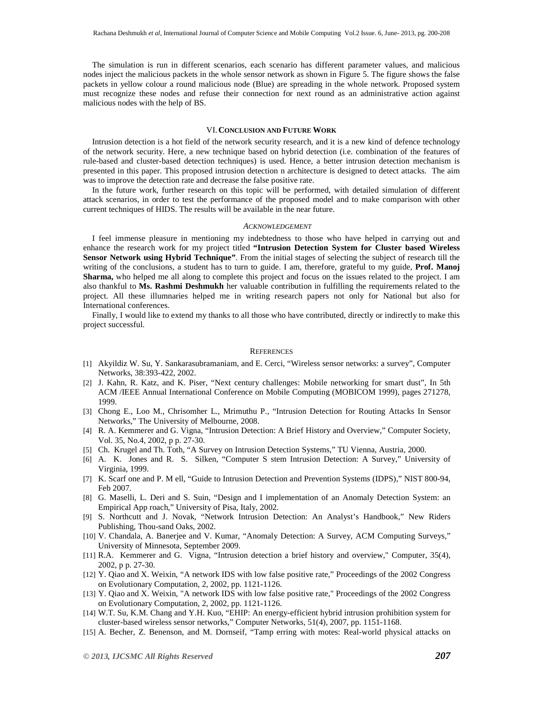The simulation is run in different scenarios, each scenario has different parameter values, and malicious nodes inject the malicious packets in the whole sensor network as shown in Figure 5. The figure shows the false packets in yellow colour a round malicious node (Blue) are spreading in the whole network. Proposed system must recognize these nodes and refuse their connection for next round as an administrative action against malicious nodes with the help of BS.

# VI. **CONCLUSION AND FUTURE WORK**

Intrusion detection is a hot field of the network security research, and it is a new kind of defence technology of the network security. Here, a new technique based on hybrid detection (i.e. combination of the features of rule-based and cluster-based detection techniques) is used. Hence, a better intrusion detection mechanism is presented in this paper. This proposed intrusion detection n architecture is designed to detect attacks. The aim was to improve the detection rate and decrease the false positive rate.

In the future work, further research on this topic will be performed, with detailed simulation of different attack scenarios, in order to test the performance of the proposed model and to make comparison with other current techniques of HIDS. The results will be available in the near future.

#### *ACKNOWLEDGEMENT*

I feel immense pleasure in mentioning my indebtedness to those who have helped in carrying out and enhance the research work for my project titled **"Intrusion Detection System for Cluster based Wireless Sensor Network using Hybrid Technique"**. From the initial stages of selecting the subject of research till the writing of the conclusions, a student has to turn to guide. I am, therefore, grateful to my guide, **Prof. Manoj Sharma,** who helped me all along to complete this project and focus on the issues related to the project. I am also thankful to **Ms. Rashmi Deshmukh** her valuable contribution in fulfilling the requirements related to the project. All these illumnaries helped me in writing research papers not only for National but also for International conferences.

Finally, I would like to extend my thanks to all those who have contributed, directly or indirectly to make this project successful.

#### **REFERENCES**

- [1] Akyildiz W. Su, Y. Sankarasubramaniam, and E. Cerci, "Wireless sensor networks: a survey", Computer Networks, 38:393-422, 2002.
- [2] J. Kahn, R. Katz, and K. Piser, "Next century challenges: Mobile networking for smart dust", In 5th ACM /IEEE Annual International Conference on Mobile Computing (MOBICOM 1999), pages 271278, 1999.
- [3] Chong E., Loo M., Chrisomher L., Mrimuthu P., "Intrusion Detection for Routing Attacks In Sensor Networks," The University of Melbourne, 2008.
- [4] R. A. Kemmerer and G. Vigna, "Intrusion Detection: A Brief History and Overview," Computer Society, Vol. 35, No.4, 2002, p p. 27-30.
- [5] Ch. Krugel and Th. Toth, "A Survey on Intrusion Detection Systems," TU Vienna, Austria, 2000.
- [6] A. K. Jones and R. S. Silken, "Computer S stem Intrusion Detection: A Survey," University of Virginia, 1999.
- [7] K. Scarf one and P. M ell, "Guide to Intrusion Detection and Prevention Systems (IDPS)," NIST 800-94, Feb 2007.
- [8] G. Maselli, L. Deri and S. Suin, "Design and I implementation of an Anomaly Detection System: an Empirical App roach," University of Pisa, Italy, 2002.
- [9] S. Northcutt and J. Novak, "Network Intrusion Detection: An Analyst's Handbook," New Riders Publishing, Thou-sand Oaks, 2002.
- [10] V. Chandala, A. Banerjee and V. Kumar, "Anomaly Detection: A Survey, ACM Computing Surveys," University of Minnesota, September 2009.
- [11] R.A. Kemmerer and G. Vigna, "Intrusion detection a brief history and overview," Computer, 35(4), 2002, p p. 27-30.
- [12] Y. Qiao and X. Weixin, "A network IDS with low false positive rate," Proceedings of the 2002 Congress on Evolutionary Computation, 2, 2002, pp. 1121-1126.
- [13] Y. Qiao and X. Weixin, "A network IDS with low false positive rate," Proceedings of the 2002 Congress on Evolutionary Computation, 2, 2002, pp. 1121-1126.
- [14] W.T. Su, K.M. Chang and Y.H. Kuo, "EHIP: An energy-efficient hybrid intrusion prohibition system for cluster-based wireless sensor networks," Computer Networks, 51(4), 2007, pp. 1151-1168.
- [15] A. Becher, Z. Benenson, and M. Dornseif, "Tamp erring with motes: Real-world physical attacks on